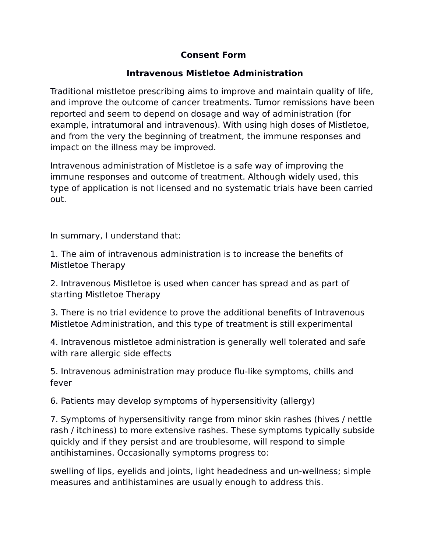## **Consent Form**

## **Intravenous Mistletoe Administration**

Traditional mistletoe prescribing aims to improve and maintain quality of life, and improve the outcome of cancer treatments. Tumor remissions have been reported and seem to depend on dosage and way of administration (for example, intratumoral and intravenous). With using high doses of Mistletoe, and from the very the beginning of treatment, the immune responses and impact on the illness may be improved.

Intravenous administration of Mistletoe is a safe way of improving the immune responses and outcome of treatment. Although widely used, this type of application is not licensed and no systematic trials have been carried out.

In summary, I understand that:

1. The aim of intravenous administration is to increase the benefits of Mistletoe Therapy

2. Intravenous Mistletoe is used when cancer has spread and as part of starting Mistletoe Therapy

3. There is no trial evidence to prove the additional benefits of Intravenous Mistletoe Administration, and this type of treatment is still experimental

4. Intravenous mistletoe administration is generally well tolerated and safe with rare allergic side effects

5. Intravenous administration may produce flu-like symptoms, chills and fever

6. Patients may develop symptoms of hypersensitivity (allergy)

7. Symptoms of hypersensitivity range from minor skin rashes (hives / nettle rash / itchiness) to more extensive rashes. These symptoms typically subside quickly and if they persist and are troublesome, will respond to simple antihistamines. Occasionally symptoms progress to:

swelling of lips, eyelids and joints, light headedness and un-wellness; simple measures and antihistamines are usually enough to address this.